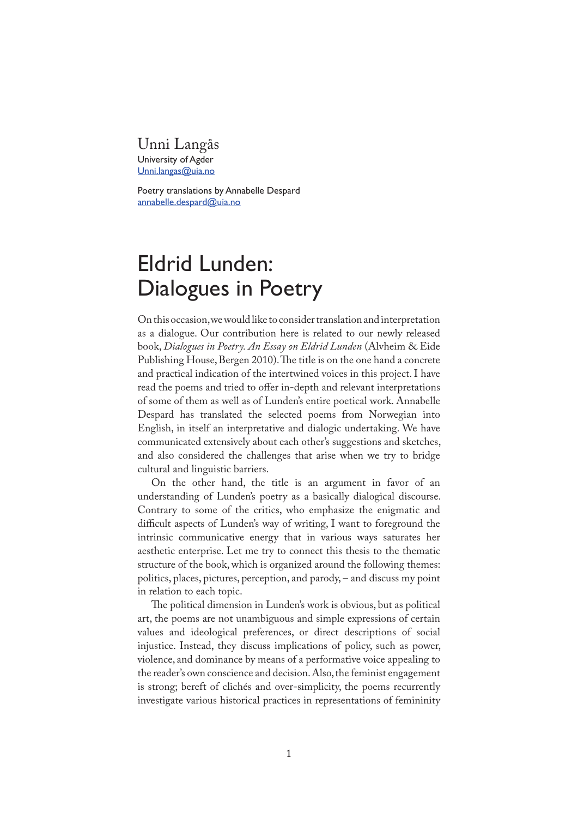# Unni Langås University of Agder Unni.langas@uia.no

Poetry translations by Annabelle Despard annabelle.despard@uia.no

# Eldrid Lunden: Dialogues in Poetry

On this occasion, we would like to consider translation and interpretation as a dialogue. Our contribution here is related to our newly released book, *Dialogues in Poetry. An Essay on Eldrid Lunden* (Alvheim & Eide Publishing House, Bergen 2010). The title is on the one hand a concrete and practical indication of the intertwined voices in this project. I have read the poems and tried to offer in-depth and relevant interpretations of some of them as well as of Lunden's entire poetical work. Annabelle Despard has translated the selected poems from Norwegian into English, in itself an interpretative and dialogic undertaking. We have communicated extensively about each other's suggestions and sketches, and also considered the challenges that arise when we try to bridge cultural and linguistic barriers.

On the other hand, the title is an argument in favor of an understanding of Lunden's poetry as a basically dialogical discourse. Contrary to some of the critics, who emphasize the enigmatic and difficult aspects of Lunden's way of writing, I want to foreground the intrinsic communicative energy that in various ways saturates her aesthetic enterprise. Let me try to connect this thesis to the thematic structure of the book, which is organized around the following themes: politics, places, pictures, perception, and parody, – and discuss my point in relation to each topic.

�e political dimension in Lunden's work is obvious, but as political art, the poems are not unambiguous and simple expressions of certain values and ideological preferences, or direct descriptions of social injustice. Instead, they discuss implications of policy, such as power, violence, and dominance by means of a performative voice appealing to the reader's own conscience and decision. Also, the feminist engagement is strong; bereft of clichés and over-simplicity, the poems recurrently investigate various historical practices in representations of femininity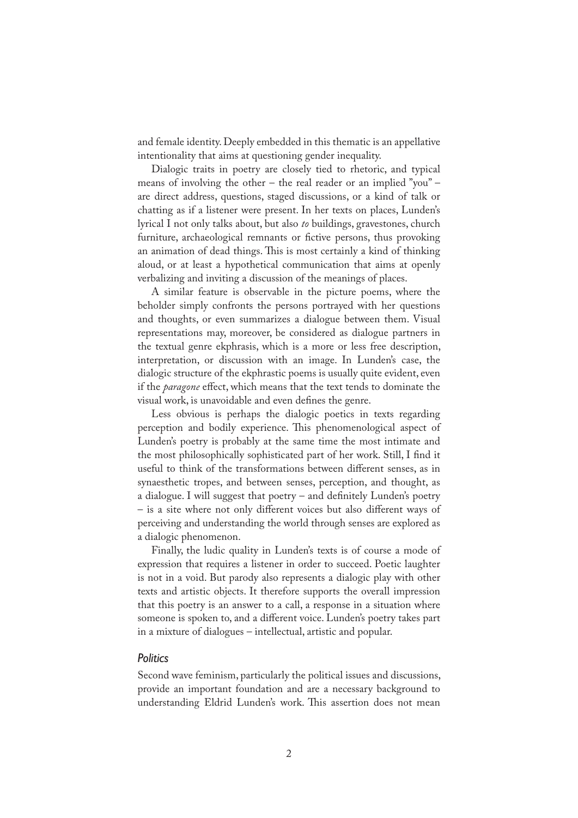and female identity. Deeply embedded in this thematic is an appellative intentionality that aims at questioning gender inequality.

Dialogic traits in poetry are closely tied to rhetoric, and typical means of involving the other – the real reader or an implied "you" – are direct address, questions, staged discussions, or a kind of talk or chatting as if a listener were present. In her texts on places, Lunden's lyrical I not only talks about, but also *to* buildings, gravestones, church furniture, archaeological remnants or fictive persons, thus provoking an animation of dead things. This is most certainly a kind of thinking aloud, or at least a hypothetical communication that aims at openly verbalizing and inviting a discussion of the meanings of places.

A similar feature is observable in the picture poems, where the beholder simply confronts the persons portrayed with her questions and thoughts, or even summarizes a dialogue between them. Visual representations may, moreover, be considered as dialogue partners in the textual genre ekphrasis, which is a more or less free description, interpretation, or discussion with an image. In Lunden's case, the dialogic structure of the ekphrastic poems is usually quite evident, even if the *paragone* effect, which means that the text tends to dominate the visual work, is unavoidable and even defines the genre.

Less obvious is perhaps the dialogic poetics in texts regarding perception and bodily experience. This phenomenological aspect of Lunden's poetry is probably at the same time the most intimate and the most philosophically sophisticated part of her work. Still, I find it useful to think of the transformations between different senses, as in synaesthetic tropes, and between senses, perception, and thought, as a dialogue. I will suggest that poetry  $-$  and definitely Lunden's poetry – is a site where not only different voices but also different ways of perceiving and understanding the world through senses are explored as a dialogic phenomenon.

Finally, the ludic quality in Lunden's texts is of course a mode of expression that requires a listener in order to succeed. Poetic laughter is not in a void. But parody also represents a dialogic play with other texts and artistic objects. It therefore supports the overall impression that this poetry is an answer to a call, a response in a situation where someone is spoken to, and a different voice. Lunden's poetry takes part in a mixture of dialogues – intellectual, artistic and popular.

# *Politics*

Second wave feminism, particularly the political issues and discussions, provide an important foundation and are a necessary background to understanding Eldrid Lunden's work. This assertion does not mean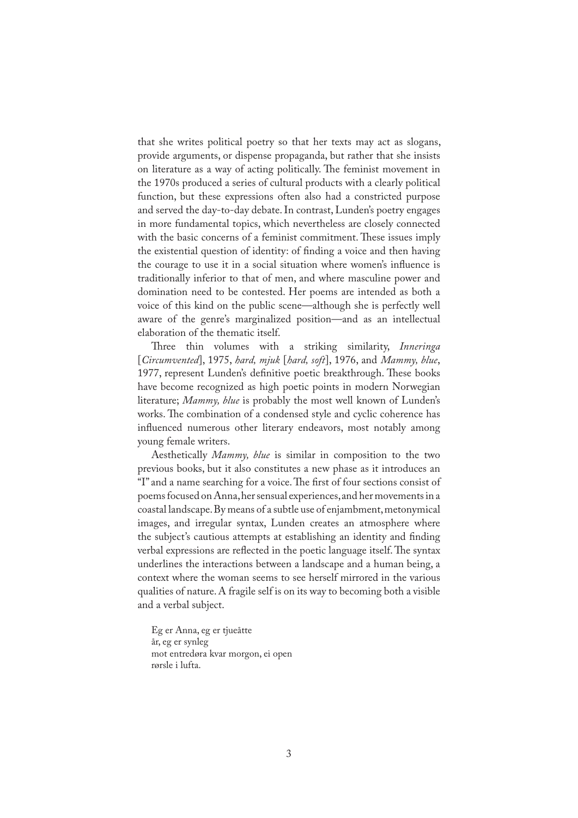that she writes political poetry so that her texts may act as slogans, provide arguments, or dispense propaganda, but rather that she insists on literature as a way of acting politically. The feminist movement in the 1970s produced a series of cultural products with a clearly political function, but these expressions often also had a constricted purpose and served the day-to-day debate. In contrast, Lunden's poetry engages in more fundamental topics, which nevertheless are closely connected with the basic concerns of a feminist commitment. These issues imply the existential question of identity: of finding a voice and then having the courage to use it in a social situation where women's in�uence is traditionally inferior to that of men, and where masculine power and domination need to be contested. Her poems are intended as both a voice of this kind on the public scene—although she is perfectly well aware of the genre's marginalized position—and as an intellectual elaboration of the thematic itself.

Three thin volumes with a striking similarity, *Inneringa* [*Circumvented*], 1975, *hard, mjuk* [*hard, soft*], 1976, and *Mammy, blue*, 1977, represent Lunden's definitive poetic breakthrough. These books have become recognized as high poetic points in modern Norwegian literature; *Mammy, blue* is probably the most well known of Lunden's works. The combination of a condensed style and cyclic coherence has influenced numerous other literary endeavors, most notably among young female writers.

Aesthetically *Mammy, blue* is similar in composition to the two previous books, but it also constitutes a new phase as it introduces an "I" and a name searching for a voice. The first of four sections consist of poems focused on Anna, her sensual experiences, and her movements in a coastal landscape. By means of a subtle use of enjambment, metonymical images, and irregular syntax, Lunden creates an atmosphere where the subject's cautious attempts at establishing an identity and finding verbal expressions are reflected in the poetic language itself. The syntax underlines the interactions between a landscape and a human being, a context where the woman seems to see herself mirrored in the various qualities of nature. A fragile self is on its way to becoming both a visible and a verbal subject.

Eg er Anna, eg er tjueåtte år, eg er synleg mot entredøra kvar morgon, ei open rørsle i lufta.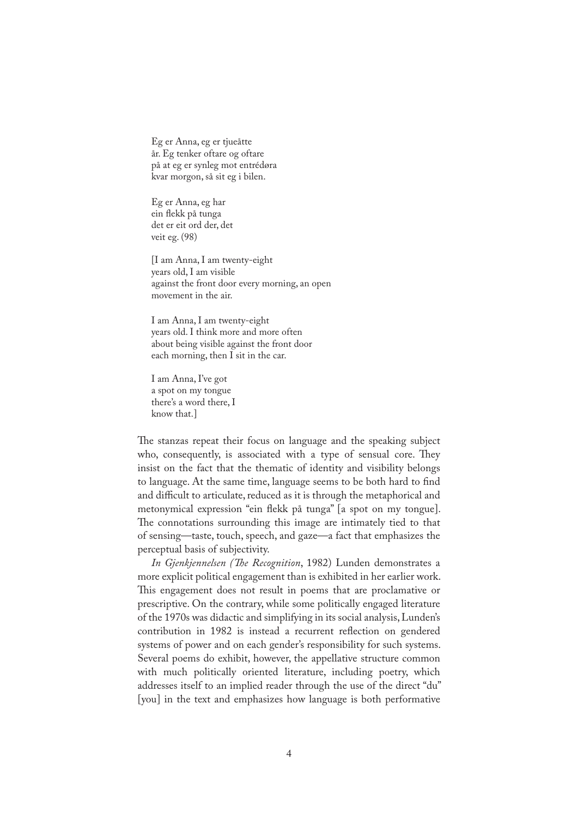Eg er Anna, eg er tjueåtte år. Eg tenker oftare og oftare på at eg er synleg mot entrédøra kvar morgon, så sit eg i bilen.

Eg er Anna, eg har ein �ekk på tunga det er eit ord der, det veit eg. (98)

[I am Anna, I am twenty-eight years old, I am visible against the front door every morning, an open movement in the air.

I am Anna, I am twenty-eight years old. I think more and more often about being visible against the front door each morning, then I sit in the car.

I am Anna, I've got a spot on my tongue there's a word there, I know that.]

The stanzas repeat their focus on language and the speaking subject who, consequently, is associated with a type of sensual core. They insist on the fact that the thematic of identity and visibility belongs to language. At the same time, language seems to be both hard to find and difficult to articulate, reduced as it is through the metaphorical and metonymical expression "ein �ekk på tunga" [a spot on my tongue]. �e connotations surrounding this image are intimately tied to that of sensing—taste, touch, speech, and gaze—a fact that emphasizes the perceptual basis of subjectivity.

*In Gjenkjennelsen (�e Recognition*, 1982) Lunden demonstrates a more explicit political engagement than is exhibited in her earlier work. This engagement does not result in poems that are proclamative or prescriptive. On the contrary, while some politically engaged literature of the 1970s was didactic and simplifying in its social analysis, Lunden's contribution in 1982 is instead a recurrent reflection on gendered systems of power and on each gender's responsibility for such systems. Several poems do exhibit, however, the appellative structure common with much politically oriented literature, including poetry, which addresses itself to an implied reader through the use of the direct "du" [you] in the text and emphasizes how language is both performative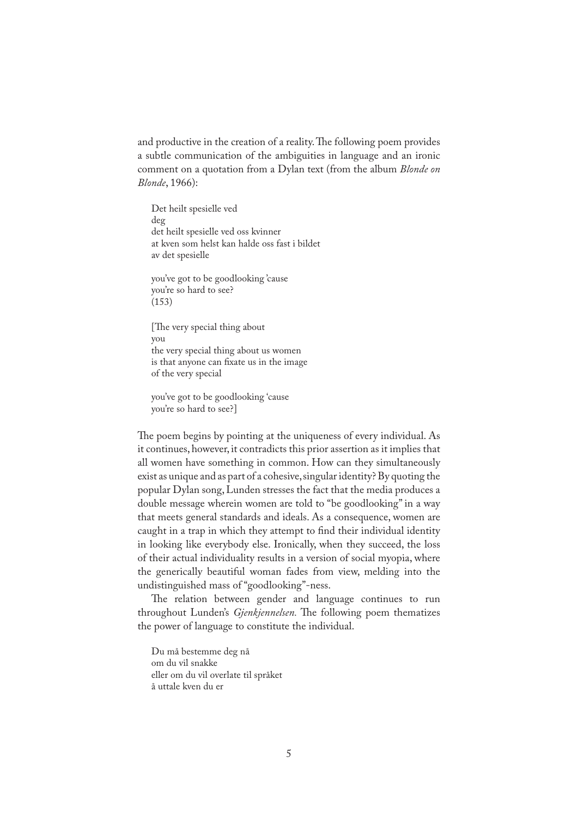and productive in the creation of a reality. The following poem provides a subtle communication of the ambiguities in language and an ironic comment on a quotation from a Dylan text (from the album *Blonde on Blonde*, 1966):

Det heilt spesielle ved deg det heilt spesielle ved oss kvinner at kven som helst kan halde oss fast i bildet av det spesielle

you've got to be goodlooking 'cause you're so hard to see? (153)

[The very special thing about] you the very special thing about us women is that anyone can fixate us in the image of the very special

you've got to be goodlooking 'cause you're so hard to see?]

The poem begins by pointing at the uniqueness of every individual. As it continues, however, it contradicts this prior assertion as it implies that all women have something in common. How can they simultaneously exist as unique and as part of a cohesive, singular identity? By quoting the popular Dylan song, Lunden stresses the fact that the media produces a double message wherein women are told to "be goodlooking" in a way that meets general standards and ideals. As a consequence, women are caught in a trap in which they attempt to find their individual identity in looking like everybody else. Ironically, when they succeed, the loss of their actual individuality results in a version of social myopia, where the generically beautiful woman fades from view, melding into the undistinguished mass of "goodlooking"-ness.

�e relation between gender and language continues to run throughout Lunden's *Gjenkjennelsen*. The following poem thematizes the power of language to constitute the individual.

Du må bestemme deg nå om du vil snakke eller om du vil overlate til språket å uttale kven du er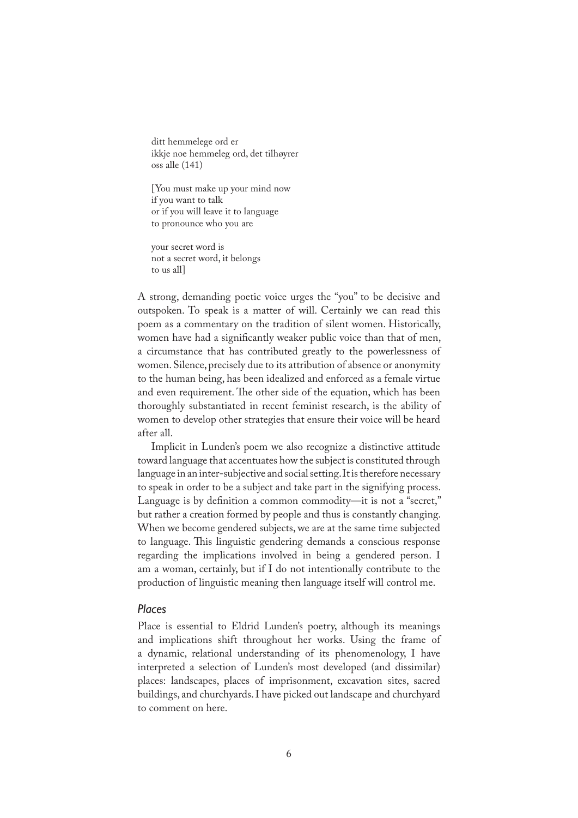ditt hemmelege ord er ikkje noe hemmeleg ord, det tilhøyrer oss alle (141)

[You must make up your mind now if you want to talk or if you will leave it to language to pronounce who you are

your secret word is not a secret word, it belongs to us all]

A strong, demanding poetic voice urges the "you" to be decisive and outspoken. To speak is a matter of will. Certainly we can read this poem as a commentary on the tradition of silent women. Historically, women have had a significantly weaker public voice than that of men, a circumstance that has contributed greatly to the powerlessness of women. Silence, precisely due to its attribution of absence or anonymity to the human being, has been idealized and enforced as a female virtue and even requirement. The other side of the equation, which has been thoroughly substantiated in recent feminist research, is the ability of women to develop other strategies that ensure their voice will be heard after all.

Implicit in Lunden's poem we also recognize a distinctive attitude toward language that accentuates how the subject is constituted through language in an inter-subjective and social setting. It is therefore necessary to speak in order to be a subject and take part in the signifying process. Language is by definition a common commodity—it is not a "secret," but rather a creation formed by people and thus is constantly changing. When we become gendered subjects, we are at the same time subjected to language. This linguistic gendering demands a conscious response regarding the implications involved in being a gendered person. I am a woman, certainly, but if I do not intentionally contribute to the production of linguistic meaning then language itself will control me.

#### *Places*

Place is essential to Eldrid Lunden's poetry, although its meanings and implications shift throughout her works. Using the frame of a dynamic, relational understanding of its phenomenology, I have interpreted a selection of Lunden's most developed (and dissimilar) places: landscapes, places of imprisonment, excavation sites, sacred buildings, and churchyards. I have picked out landscape and churchyard to comment on here.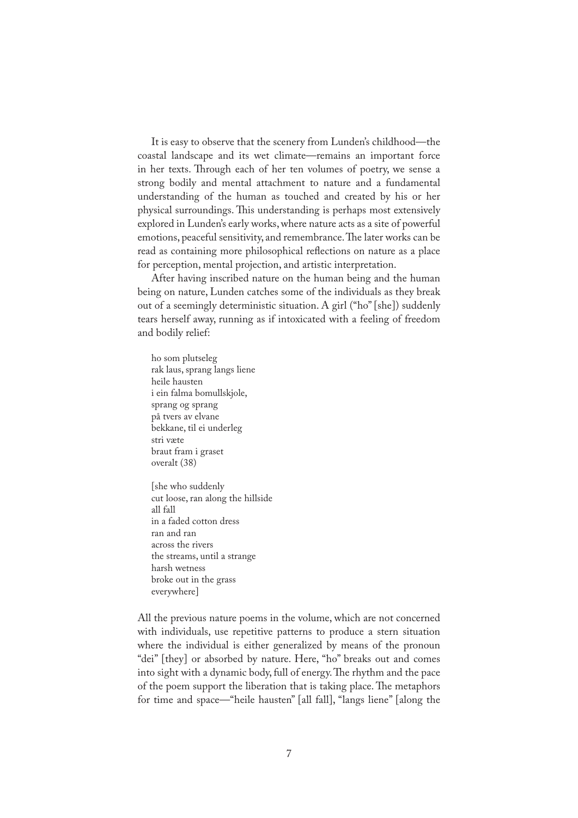It is easy to observe that the scenery from Lunden's childhood—the coastal landscape and its wet climate—remains an important force in her texts. Through each of her ten volumes of poetry, we sense a strong bodily and mental attachment to nature and a fundamental understanding of the human as touched and created by his or her physical surroundings. This understanding is perhaps most extensively explored in Lunden's early works, where nature acts as a site of powerful emotions, peaceful sensitivity, and remembrance. The later works can be read as containing more philosophical reflections on nature as a place for perception, mental projection, and artistic interpretation.

After having inscribed nature on the human being and the human being on nature, Lunden catches some of the individuals as they break out of a seemingly deterministic situation. A girl ("ho" [she]) suddenly tears herself away, running as if intoxicated with a feeling of freedom and bodily relief:

ho som plutseleg rak laus, sprang langs liene heile hausten i ein falma bomullskjole, sprang og sprang på tvers av elvane bekkane, til ei underleg stri væte braut fram i graset overalt (38)

[she who suddenly cut loose, ran along the hillside all fall in a faded cotton dress ran and ran across the rivers the streams, until a strange harsh wetness broke out in the grass everywhere]

All the previous nature poems in the volume, which are not concerned with individuals, use repetitive patterns to produce a stern situation where the individual is either generalized by means of the pronoun "dei" [they] or absorbed by nature. Here, "ho" breaks out and comes into sight with a dynamic body, full of energy. The rhythm and the pace of the poem support the liberation that is taking place. The metaphors for time and space—"heile hausten" [all fall], "langs liene" [along the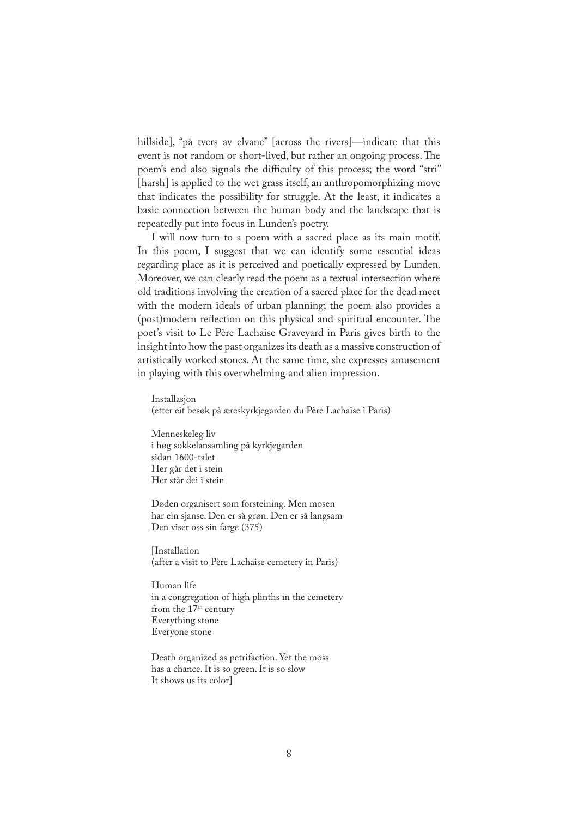hillside], "på tvers av elvane" [across the rivers]—indicate that this event is not random or short-lived, but rather an ongoing process. The poem's end also signals the difficulty of this process; the word "stri" [harsh] is applied to the wet grass itself, an anthropomorphizing move that indicates the possibility for struggle. At the least, it indicates a basic connection between the human body and the landscape that is repeatedly put into focus in Lunden's poetry.

I will now turn to a poem with a sacred place as its main motif. In this poem, I suggest that we can identify some essential ideas regarding place as it is perceived and poetically expressed by Lunden. Moreover, we can clearly read the poem as a textual intersection where old traditions involving the creation of a sacred place for the dead meet with the modern ideals of urban planning; the poem also provides a (post)modern reflection on this physical and spiritual encounter. The poet's visit to Le Père Lachaise Graveyard in Paris gives birth to the insight into how the past organizes its death as a massive construction of artistically worked stones. At the same time, she expresses amusement in playing with this overwhelming and alien impression.

Installasjon (etter eit besøk på æreskyrkjegarden du Père Lachaise i Paris)

Menneskeleg liv i høg sokkelansamling på kyrkjegarden sidan 1600-talet Her går det i stein Her står dei i stein

Døden organisert som forsteining. Men mosen har ein sjanse. Den er så grøn. Den er så langsam Den viser oss sin farge (375)

[Installation (after a visit to Père Lachaise cemetery in Paris)

Human life in a congregation of high plinths in the cemetery from the 17<sup>th</sup> century Everything stone Everyone stone

Death organized as petrifaction. Yet the moss has a chance. It is so green. It is so slow It shows us its color]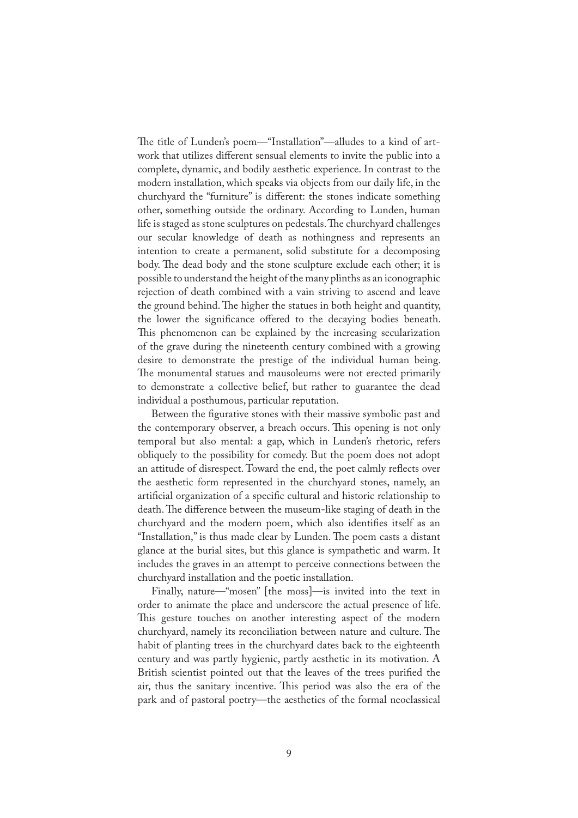�e title of Lunden's poem—"Installation"—alludes to a kind of artwork that utilizes different sensual elements to invite the public into a complete, dynamic, and bodily aesthetic experience. In contrast to the modern installation, which speaks via objects from our daily life, in the churchyard the "furniture" is different: the stones indicate something other, something outside the ordinary. According to Lunden, human life is staged as stone sculptures on pedestals. The churchyard challenges our secular knowledge of death as nothingness and represents an intention to create a permanent, solid substitute for a decomposing body. The dead body and the stone sculpture exclude each other; it is possible to understand the height of the many plinths as an iconographic rejection of death combined with a vain striving to ascend and leave the ground behind. The higher the statues in both height and quantity, the lower the significance offered to the decaying bodies beneath. This phenomenon can be explained by the increasing secularization of the grave during the nineteenth century combined with a growing desire to demonstrate the prestige of the individual human being. The monumental statues and mausoleums were not erected primarily to demonstrate a collective belief, but rather to guarantee the dead individual a posthumous, particular reputation.

Between the figurative stones with their massive symbolic past and the contemporary observer, a breach occurs. This opening is not only temporal but also mental: a gap, which in Lunden's rhetoric, refers obliquely to the possibility for comedy. But the poem does not adopt an attitude of disrespect. Toward the end, the poet calmly reflects over the aesthetic form represented in the churchyard stones, namely, an artificial organization of a specific cultural and historic relationship to death. The difference between the museum-like staging of death in the churchyard and the modern poem, which also identi�es itself as an "Installation," is thus made clear by Lunden. The poem casts a distant glance at the burial sites, but this glance is sympathetic and warm. It includes the graves in an attempt to perceive connections between the churchyard installation and the poetic installation.

Finally, nature—"mosen" [the moss]—is invited into the text in order to animate the place and underscore the actual presence of life. This gesture touches on another interesting aspect of the modern churchyard, namely its reconciliation between nature and culture. The habit of planting trees in the churchyard dates back to the eighteenth century and was partly hygienic, partly aesthetic in its motivation. A British scientist pointed out that the leaves of the trees purified the air, thus the sanitary incentive. This period was also the era of the park and of pastoral poetry—the aesthetics of the formal neoclassical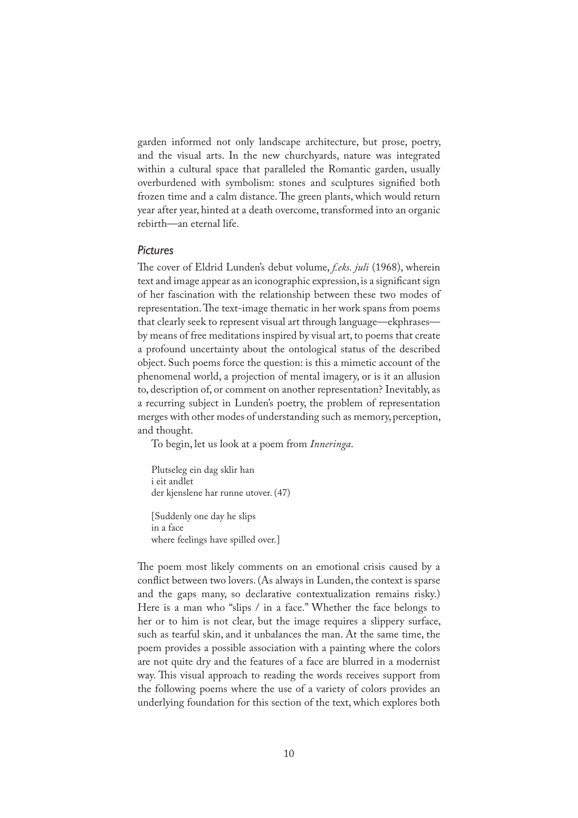garden informed not only landscape architecture, but prose, poetry, and the visual arts. In the new churchyards, nature was integrated within a cultural space that paralleled the Romantic garden, usually overburdened with symbolism: stones and sculptures signified both frozen time and a calm distance. The green plants, which would return year after year, hinted at a death overcome, transformed into an organic rebirth—an eternal life.

# *Pictures*

�e cover of Eldrid Lunden's debut volume, *f.eks. juli* (1968), wherein text and image appear as an iconographic expression, is a significant sign of her fascination with the relationship between these two modes of representation. The text-image thematic in her work spans from poems that clearly seek to represent visual art through language—ekphrases by means of free meditations inspired by visual art, to poems that create a profound uncertainty about the ontological status of the described object. Such poems force the question: is this a mimetic account of the phenomenal world, a projection of mental imagery, or is it an allusion to, description of, or comment on another representation? Inevitably, as a recurring subject in Lunden's poetry, the problem of representation merges with other modes of understanding such as memory, perception, and thought.

To begin, let us look at a poem from *Inneringa*.

Plutseleg ein dag sklir han i eit andlet der kjenslene har runne utover. (47)

[Suddenly one day he slips in a face where feelings have spilled over.]

The poem most likely comments on an emotional crisis caused by a con�ict between two lovers. (As always in Lunden, the context is sparse and the gaps many, so declarative contextualization remains risky.) Here is a man who "slips / in a face." Whether the face belongs to her or to him is not clear, but the image requires a slippery surface, such as tearful skin, and it unbalances the man. At the same time, the poem provides a possible association with a painting where the colors are not quite dry and the features of a face are blurred in a modernist way. This visual approach to reading the words receives support from the following poems where the use of a variety of colors provides an underlying foundation for this section of the text, which explores both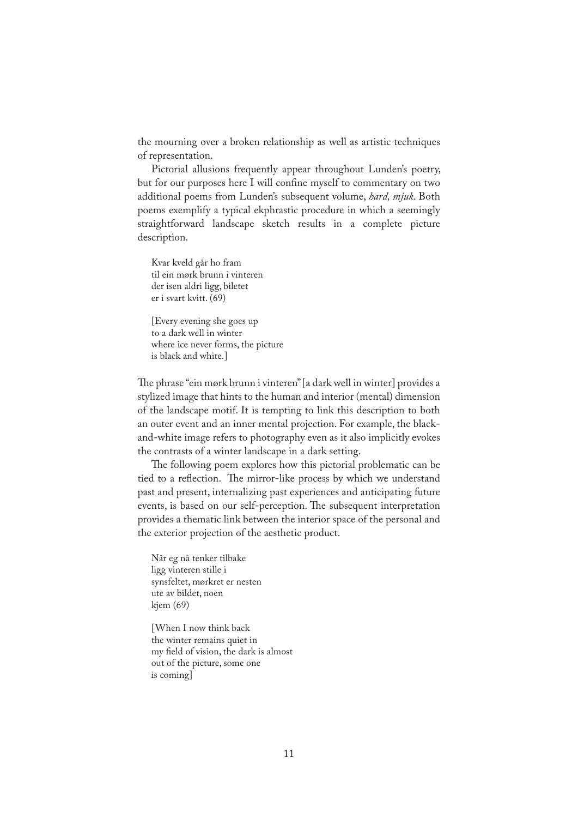the mourning over a broken relationship as well as artistic techniques of representation.

Pictorial allusions frequently appear throughout Lunden's poetry, but for our purposes here I will confine myself to commentary on two additional poems from Lunden's subsequent volume, *hard, mjuk*. Both poems exemplify a typical ekphrastic procedure in which a seemingly straightforward landscape sketch results in a complete picture description.

Kvar kveld går ho fram til ein mørk brunn i vinteren der isen aldri ligg, biletet er i svart kvitt. (69)

[Every evening she goes up to a dark well in winter where ice never forms, the picture is black and white.]

�e phrase "ein mørk brunn i vinteren" [a dark well in winter] provides a stylized image that hints to the human and interior (mental) dimension of the landscape motif. It is tempting to link this description to both an outer event and an inner mental projection. For example, the blackand-white image refers to photography even as it also implicitly evokes the contrasts of a winter landscape in a dark setting.

The following poem explores how this pictorial problematic can be tied to a reflection. The mirror-like process by which we understand past and present, internalizing past experiences and anticipating future events, is based on our self-perception. The subsequent interpretation provides a thematic link between the interior space of the personal and the exterior projection of the aesthetic product.

Når eg nå tenker tilbake ligg vinteren stille i synsfeltet, mørkret er nesten ute av bildet, noen kjem (69)

[When I now think back the winter remains quiet in my field of vision, the dark is almost out of the picture, some one is coming]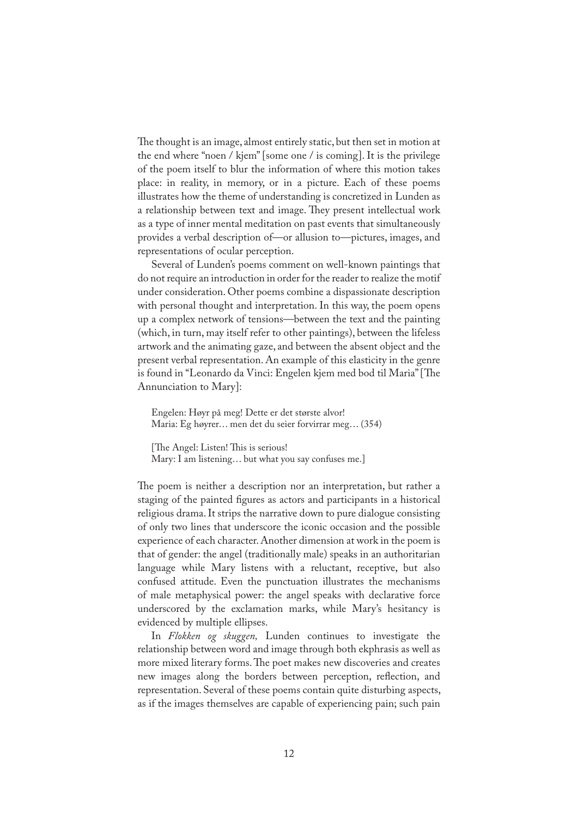�e thought is an image, almost entirely static, but then set in motion at the end where "noen / kjem" [some one / is coming]. It is the privilege of the poem itself to blur the information of where this motion takes place: in reality, in memory, or in a picture. Each of these poems illustrates how the theme of understanding is concretized in Lunden as a relationship between text and image. They present intellectual work as a type of inner mental meditation on past events that simultaneously provides a verbal description of—or allusion to—pictures, images, and representations of ocular perception.

Several of Lunden's poems comment on well-known paintings that do not require an introduction in order for the reader to realize the motif under consideration. Other poems combine a dispassionate description with personal thought and interpretation. In this way, the poem opens up a complex network of tensions—between the text and the painting (which, in turn, may itself refer to other paintings), between the lifeless artwork and the animating gaze, and between the absent object and the present verbal representation. An example of this elasticity in the genre is found in "Leonardo da Vinci: Engelen kjem med bod til Maria" [The Annunciation to Mary]:

Engelen: Høyr på meg! Dette er det største alvor! Maria: Eg høyrer… men det du seier forvirrar meg… (354)

[The Angel: Listen! This is serious!

Mary: I am listening… but what you say confuses me.]

The poem is neither a description nor an interpretation, but rather a staging of the painted figures as actors and participants in a historical religious drama. It strips the narrative down to pure dialogue consisting of only two lines that underscore the iconic occasion and the possible experience of each character. Another dimension at work in the poem is that of gender: the angel (traditionally male) speaks in an authoritarian language while Mary listens with a reluctant, receptive, but also confused attitude. Even the punctuation illustrates the mechanisms of male metaphysical power: the angel speaks with declarative force underscored by the exclamation marks, while Mary's hesitancy is evidenced by multiple ellipses.

In *Flokken og skuggen,* Lunden continues to investigate the relationship between word and image through both ekphrasis as well as more mixed literary forms. The poet makes new discoveries and creates new images along the borders between perception, reflection, and representation. Several of these poems contain quite disturbing aspects, as if the images themselves are capable of experiencing pain; such pain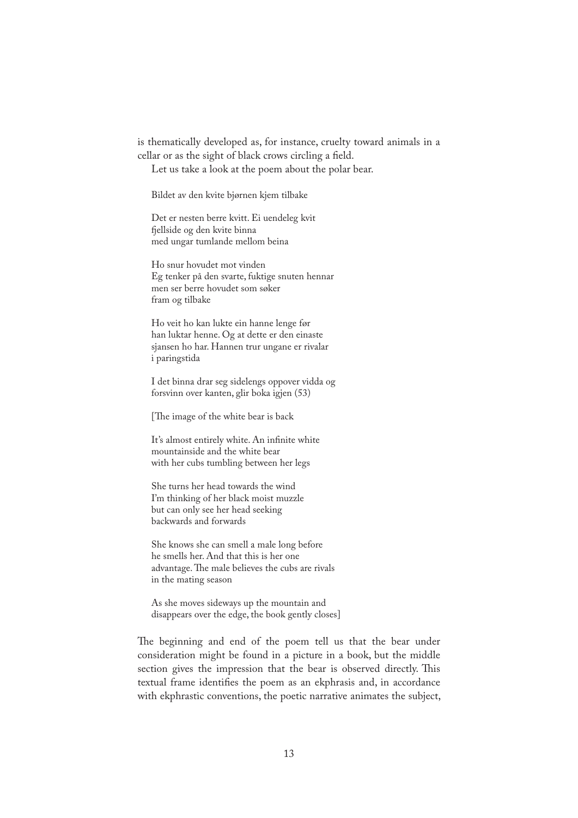is thematically developed as, for instance, cruelty toward animals in a cellar or as the sight of black crows circling a field.

Let us take a look at the poem about the polar bear.

Bildet av den kvite bjørnen kjem tilbake

Det er nesten berre kvitt. Ei uendeleg kvit �ellside og den kvite binna med ungar tumlande mellom beina

Ho snur hovudet mot vinden Eg tenker på den svarte, fuktige snuten hennar men ser berre hovudet som søker fram og tilbake

Ho veit ho kan lukte ein hanne lenge før han luktar henne. Og at dette er den einaste sjansen ho har. Hannen trur ungane er rivalar i paringstida

I det binna drar seg sidelengs oppover vidda og forsvinn over kanten, glir boka igjen (53)

[The image of the white bear is back

It's almost entirely white. An infinite white mountainside and the white bear with her cubs tumbling between her legs

She turns her head towards the wind I'm thinking of her black moist muzzle but can only see her head seeking backwards and forwards

She knows she can smell a male long before he smells her. And that this is her one advantage. The male believes the cubs are rivals in the mating season

As she moves sideways up the mountain and disappears over the edge, the book gently closes]

The beginning and end of the poem tell us that the bear under consideration might be found in a picture in a book, but the middle section gives the impression that the bear is observed directly. This textual frame identifies the poem as an ekphrasis and, in accordance with ekphrastic conventions, the poetic narrative animates the subject,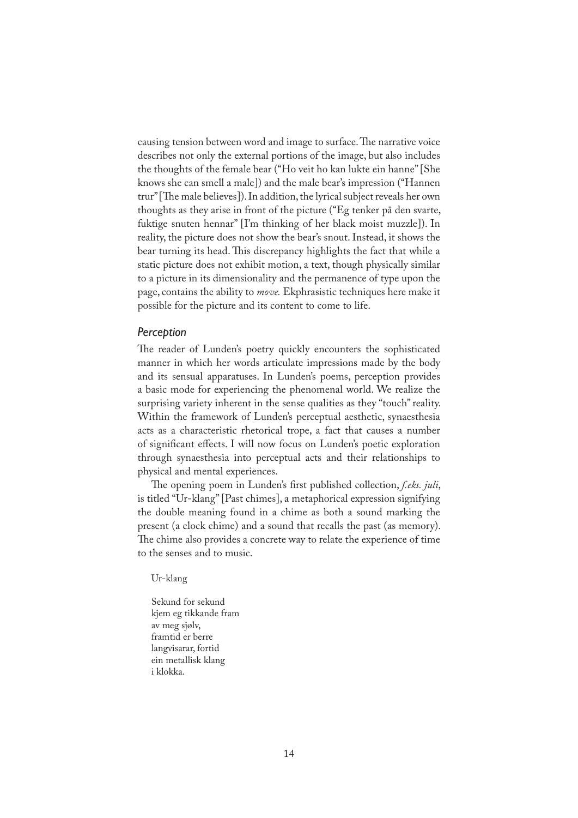causing tension between word and image to surface. The narrative voice describes not only the external portions of the image, but also includes the thoughts of the female bear ("Ho veit ho kan lukte ein hanne" [She knows she can smell a male]) and the male bear's impression ("Hannen trur" [The male believes]). In addition, the lyrical subject reveals her own thoughts as they arise in front of the picture ("Eg tenker på den svarte, fuktige snuten hennar" [I'm thinking of her black moist muzzle]). In reality, the picture does not show the bear's snout. Instead, it shows the bear turning its head. This discrepancy highlights the fact that while a static picture does not exhibit motion, a text, though physically similar to a picture in its dimensionality and the permanence of type upon the page, contains the ability to *move.* Ekphrasistic techniques here make it possible for the picture and its content to come to life.

#### *Perception*

The reader of Lunden's poetry quickly encounters the sophisticated manner in which her words articulate impressions made by the body and its sensual apparatuses. In Lunden's poems, perception provides a basic mode for experiencing the phenomenal world. We realize the surprising variety inherent in the sense qualities as they "touch" reality. Within the framework of Lunden's perceptual aesthetic, synaesthesia acts as a characteristic rhetorical trope, a fact that causes a number of signi�cant effects. I will now focus on Lunden's poetic exploration through synaesthesia into perceptual acts and their relationships to physical and mental experiences.

The opening poem in Lunden's first published collection, *f.eks. juli*, is titled "Ur-klang" [Past chimes], a metaphorical expression signifying the double meaning found in a chime as both a sound marking the present (a clock chime) and a sound that recalls the past (as memory). �e chime also provides a concrete way to relate the experience of time to the senses and to music.

## Ur-klang

Sekund for sekund kjem eg tikkande fram av meg sjølv, framtid er berre langvisarar, fortid ein metallisk klang i klokka.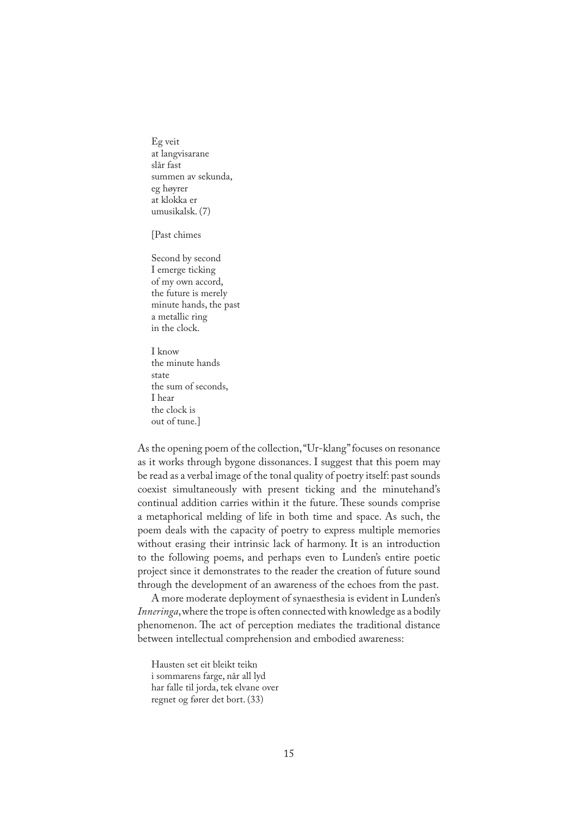Eg veit at langvisarane slår fast summen av sekunda, eg høyrer at klokka er umusikalsk. (7)

[Past chimes

Second by second I emerge ticking of my own accord, the future is merely minute hands, the past a metallic ring in the clock.

I know the minute hands state the sum of seconds, I hear the clock is out of tune.]

As the opening poem of the collection, "Ur-klang" focuses on resonance as it works through bygone dissonances. I suggest that this poem may be read as a verbal image of the tonal quality of poetry itself: past sounds coexist simultaneously with present ticking and the minutehand's continual addition carries within it the future. These sounds comprise a metaphorical melding of life in both time and space. As such, the poem deals with the capacity of poetry to express multiple memories without erasing their intrinsic lack of harmony. It is an introduction to the following poems, and perhaps even to Lunden's entire poetic project since it demonstrates to the reader the creation of future sound through the development of an awareness of the echoes from the past.

A more moderate deployment of synaesthesia is evident in Lunden's *Inneringa*, where the trope is often connected with knowledge as a bodily phenomenon. The act of perception mediates the traditional distance between intellectual comprehension and embodied awareness:

Hausten set eit bleikt teikn i sommarens farge, når all lyd har falle til jorda, tek elvane over regnet og fører det bort. (33)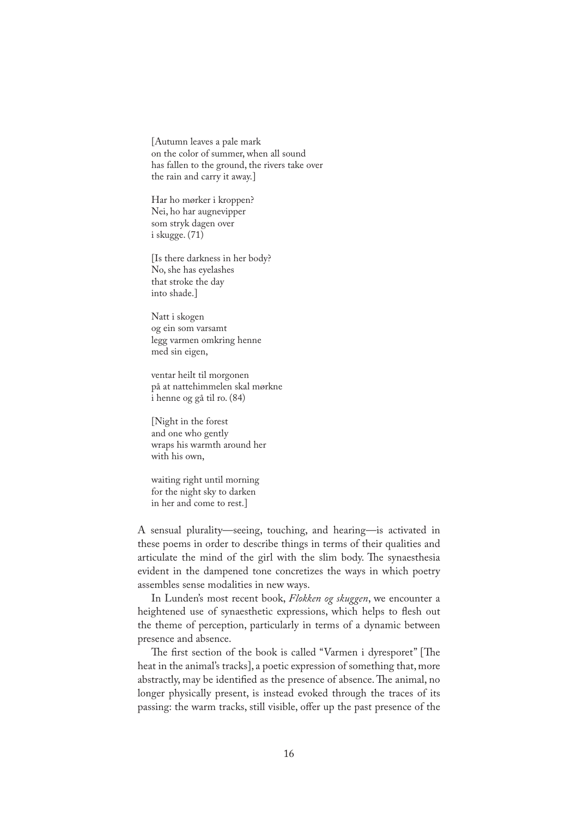[Autumn leaves a pale mark on the color of summer, when all sound has fallen to the ground, the rivers take over the rain and carry it away.]

Har ho mørker i kroppen? Nei, ho har augnevipper som stryk dagen over i skugge. (71)

[Is there darkness in her body? No, she has eyelashes that stroke the day into shade.]

Natt i skogen og ein som varsamt legg varmen omkring henne med sin eigen,

ventar heilt til morgonen på at nattehimmelen skal mørkne i henne og gå til ro. (84)

[Night in the forest and one who gently wraps his warmth around her with his own,

waiting right until morning for the night sky to darken in her and come to rest.]

A sensual plurality—seeing, touching, and hearing—is activated in these poems in order to describe things in terms of their qualities and articulate the mind of the girl with the slim body. The synaesthesia evident in the dampened tone concretizes the ways in which poetry assembles sense modalities in new ways.

In Lunden's most recent book, *Flokken og skuggen*, we encounter a heightened use of synaesthetic expressions, which helps to flesh out the theme of perception, particularly in terms of a dynamic between presence and absence.

The first section of the book is called "Varmen i dyresporet" [The heat in the animal's tracks], a poetic expression of something that, more abstractly, may be identified as the presence of absence. The animal, no longer physically present, is instead evoked through the traces of its passing: the warm tracks, still visible, offer up the past presence of the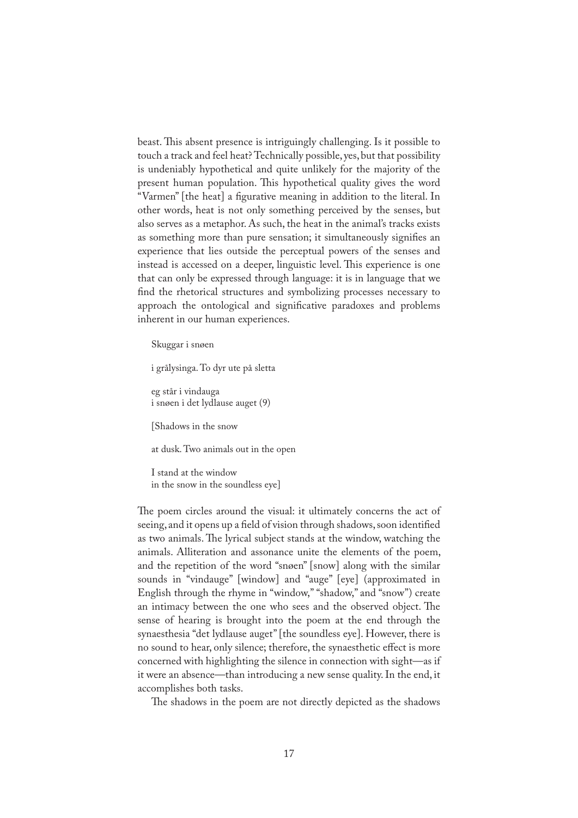beast. This absent presence is intriguingly challenging. Is it possible to touch a track and feel heat? Technically possible, yes, but that possibility is undeniably hypothetical and quite unlikely for the majority of the present human population. This hypothetical quality gives the word "Varmen" [the heat] a �gurative meaning in addition to the literal. In other words, heat is not only something perceived by the senses, but also serves as a metaphor. As such, the heat in the animal's tracks exists as something more than pure sensation; it simultaneously signifies an experience that lies outside the perceptual powers of the senses and instead is accessed on a deeper, linguistic level. This experience is one that can only be expressed through language: it is in language that we find the rhetorical structures and symbolizing processes necessary to approach the ontological and significative paradoxes and problems inherent in our human experiences.

Skuggar i snøen

i grålysinga. To dyr ute på sletta

eg står i vindauga i snøen i det lydlause auget (9)

[Shadows in the snow

at dusk. Two animals out in the open

I stand at the window in the snow in the soundless eye]

The poem circles around the visual: it ultimately concerns the act of seeing, and it opens up a field of vision through shadows, soon identified as two animals. The lyrical subject stands at the window, watching the animals. Alliteration and assonance unite the elements of the poem, and the repetition of the word "snøen" [snow] along with the similar sounds in "vindauge" [window] and "auge" [eye] (approximated in English through the rhyme in "window," "shadow," and "snow") create an intimacy between the one who sees and the observed object. The sense of hearing is brought into the poem at the end through the synaesthesia "det lydlause auget" [the soundless eye]. However, there is no sound to hear, only silence; therefore, the synaesthetic effect is more concerned with highlighting the silence in connection with sight—as if it were an absence—than introducing a new sense quality. In the end, it accomplishes both tasks.

The shadows in the poem are not directly depicted as the shadows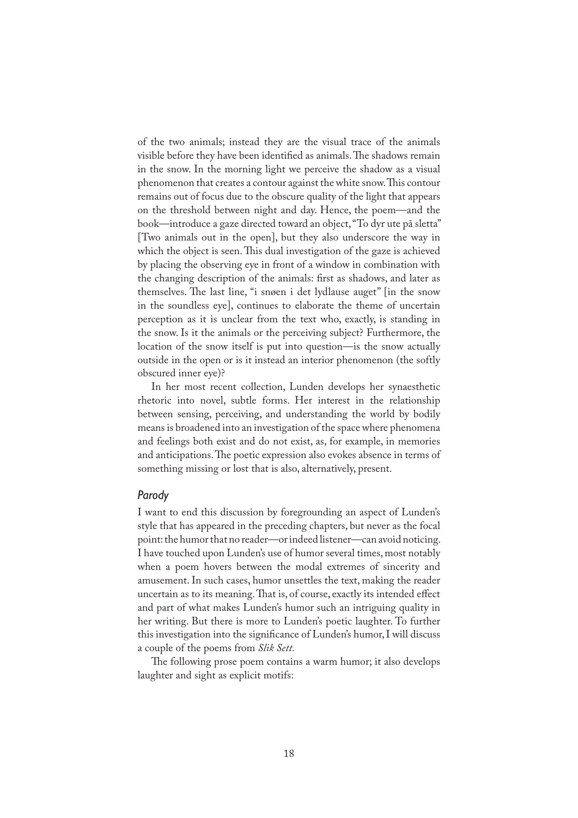of the two animals; instead they are the visual trace of the animals visible before they have been identified as animals. The shadows remain in the snow. In the morning light we perceive the shadow as a visual phenomenon that creates a contour against the white snow. This contour remains out of focus due to the obscure quality of the light that appears on the threshold between night and day. Hence, the poem—and the book—introduce a gaze directed toward an object, "To dyr ute på sletta" [Two animals out in the open], but they also underscore the way in which the object is seen. This dual investigation of the gaze is achieved by placing the observing eye in front of a window in combination with the changing description of the animals: first as shadows, and later as themselves. The last line, "i snøen i det lydlause auget" [in the snow in the soundless eye], continues to elaborate the theme of uncertain perception as it is unclear from the text who, exactly, is standing in the snow. Is it the animals or the perceiving subject? Furthermore, the location of the snow itself is put into question—is the snow actually outside in the open or is it instead an interior phenomenon (the softly obscured inner eye)?

In her most recent collection, Lunden develops her synaesthetic rhetoric into novel, subtle forms. Her interest in the relationship between sensing, perceiving, and understanding the world by bodily means is broadened into an investigation of the space where phenomena and feelings both exist and do not exist, as, for example, in memories and anticipations. The poetic expression also evokes absence in terms of something missing or lost that is also, alternatively, present.

#### *Parody*

I want to end this discussion by foregrounding an aspect of Lunden's style that has appeared in the preceding chapters, but never as the focal point: the humor that no reader—or indeed listener—can avoid noticing. I have touched upon Lunden's use of humor several times, most notably when a poem hovers between the modal extremes of sincerity and amusement. In such cases, humor unsettles the text, making the reader uncertain as to its meaning. That is, of course, exactly its intended effect and part of what makes Lunden's humor such an intriguing quality in her writing. But there is more to Lunden's poetic laughter. To further this investigation into the significance of Lunden's humor, I will discuss a couple of the poems from *Slik Sett.*

�e following prose poem contains a warm humor; it also develops laughter and sight as explicit motifs: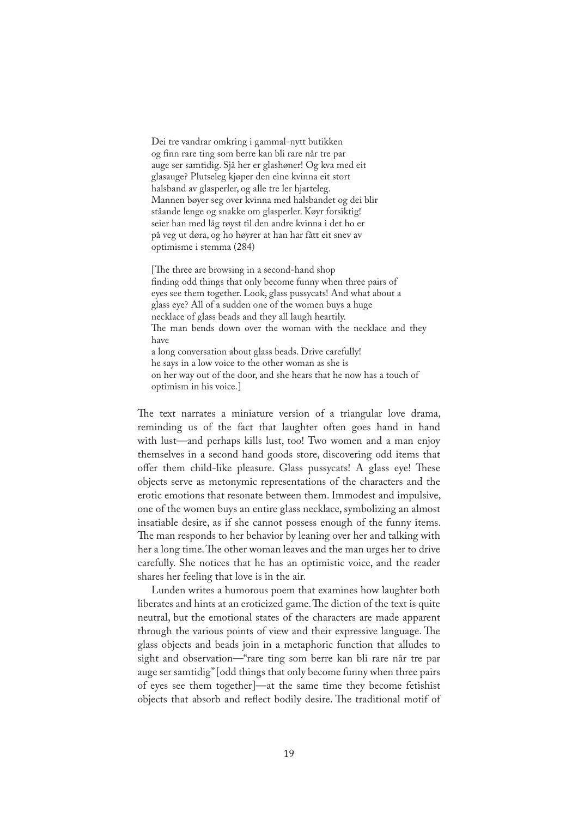Dei tre vandrar omkring i gammal-nytt butikken og �nn rare ting som berre kan bli rare når tre par auge ser samtidig. Sjå her er glashøner! Og kva med eit glasauge? Plutseleg kjøper den eine kvinna eit stort halsband av glasperler, og alle tre ler hjarteleg. Mannen bøyer seg over kvinna med halsbandet og dei blir ståande lenge og snakke om glasperler. Køyr forsiktig! seier han med låg røyst til den andre kvinna i det ho er på veg ut døra, og ho høyrer at han har fått eit snev av optimisme i stemma (284)

[The three are browsing in a second-hand shop] finding odd things that only become funny when three pairs of eyes see them together. Look, glass pussycats! And what about a glass eye? All of a sudden one of the women buys a huge necklace of glass beads and they all laugh heartily. The man bends down over the woman with the necklace and they have a long conversation about glass beads. Drive carefully! he says in a low voice to the other woman as she is on her way out of the door, and she hears that he now has a touch of optimism in his voice.]

The text narrates a miniature version of a triangular love drama, reminding us of the fact that laughter often goes hand in hand with lust—and perhaps kills lust, too! Two women and a man enjoy themselves in a second hand goods store, discovering odd items that offer them child-like pleasure. Glass pussycats! A glass eye! These objects serve as metonymic representations of the characters and the erotic emotions that resonate between them. Immodest and impulsive, one of the women buys an entire glass necklace, symbolizing an almost insatiable desire, as if she cannot possess enough of the funny items. �e man responds to her behavior by leaning over her and talking with her a long time. The other woman leaves and the man urges her to drive carefully. She notices that he has an optimistic voice, and the reader shares her feeling that love is in the air.

Lunden writes a humorous poem that examines how laughter both liberates and hints at an eroticized game. The diction of the text is quite neutral, but the emotional states of the characters are made apparent through the various points of view and their expressive language. The glass objects and beads join in a metaphoric function that alludes to sight and observation—"rare ting som berre kan bli rare når tre par auge ser samtidig" [odd things that only become funny when three pairs of eyes see them together]—at the same time they become fetishist objects that absorb and reflect bodily desire. The traditional motif of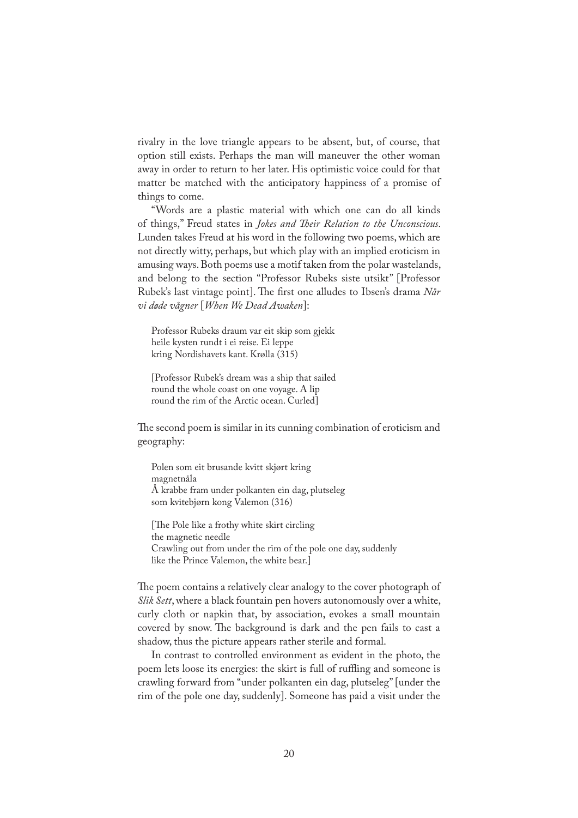rivalry in the love triangle appears to be absent, but, of course, that option still exists. Perhaps the man will maneuver the other woman away in order to return to her later. His optimistic voice could for that matter be matched with the anticipatory happiness of a promise of things to come.

"Words are a plastic material with which one can do all kinds of things," Freud states in *Jokes and �eir Relation to the Unconscious*. Lunden takes Freud at his word in the following two poems, which are not directly witty, perhaps, but which play with an implied eroticism in amusing ways. Both poems use a motif taken from the polar wastelands, and belong to the section "Professor Rubeks siste utsikt" [Professor Rubek's last vintage point]. The first one alludes to Ibsen's drama *Når vi døde vågner* [*When We Dead Awaken*]:

Professor Rubeks draum var eit skip som gjekk heile kysten rundt i ei reise. Ei leppe kring Nordishavets kant. Krølla (315)

[Professor Rubek's dream was a ship that sailed round the whole coast on one voyage. A lip round the rim of the Arctic ocean. Curled]

The second poem is similar in its cunning combination of eroticism and geography:

Polen som eit brusande kvitt skjørt kring magnetnåla Å krabbe fram under polkanten ein dag, plutseleg som kvitebjørn kong Valemon (316)

[The Pole like a frothy white skirt circling] the magnetic needle Crawling out from under the rim of the pole one day, suddenly like the Prince Valemon, the white bear.]

The poem contains a relatively clear analogy to the cover photograph of *Slik Sett*, where a black fountain pen hovers autonomously over a white, curly cloth or napkin that, by association, evokes a small mountain covered by snow. The background is dark and the pen fails to cast a shadow, thus the picture appears rather sterile and formal.

In contrast to controlled environment as evident in the photo, the poem lets loose its energies: the skirt is full of ruffling and someone is crawling forward from "under polkanten ein dag, plutseleg" [under the rim of the pole one day, suddenly]. Someone has paid a visit under the